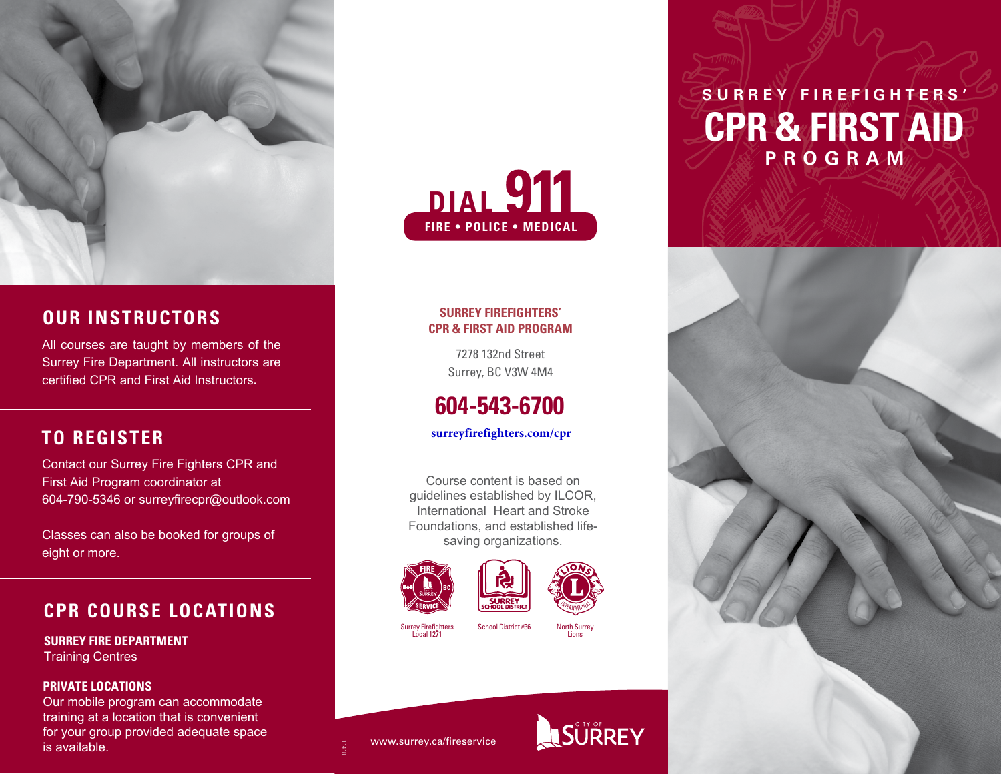

# **our instructors**

All courses are taught by members of the Surrey Fire Department. All instructors are certified CPR and First Aid Instructors**.** 

# **To Register**

Contact our Surrey Fire Fighters CPR and First Aid Program coordinator at 604-790-5346 or surreyfirecpr@outlook.com

Classes can also be booked for groups of eight or more.

# **CPR Course Locations**

**suRRey FiRe DePARTmenT** Training Centres

#### **PRivATe LoCATions**

Our mobile program can accommodate training at a location that is convenient for your group provided adequate space is available.

# **FIRE • POLICE • MEDICAL DIAL**<sub>911</sub>

#### **surrey firefighters' cpr & first aid program**

7278 132nd Street Surrey, BC V3W 4M4

#### 604-543-6700 **c**<br> **c**<br> **c**<br> **c**<br> **c**<br> **c**<br> **c**<br> **c**

### **[surreyfirefighters.com/](https://surreyfirefighters.com/home-page/home-fire-safety/cpr/)cpr**

Course content is based on guidelines established by ILCOR, International Heart and Stroke Foundations, and established lifesaving organizations.







 $Local$  1271

School District #36 North Surre



# **SURREY FIREFIGHTERS' CPR & FIRST AID PROGRAM**



11418